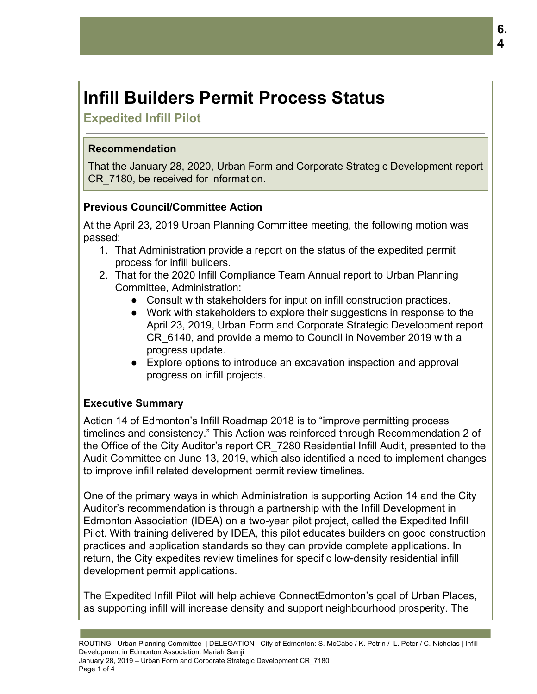# **Infill Builders Permit Process Status**

**Expedited Infill Pilot**

# **Recommendation**

That the January 28, 2020, Urban Form and Corporate Strategic Development report CR\_7180, be received for information.

# **Previous Council/Committee Action**

At the April 23, 2019 Urban Planning Committee meeting, the following motion was passed:

- 1. That Administration provide a report on the status of the expedited permit process for infill builders.
- 2. That for the 2020 Infill Compliance Team Annual report to Urban Planning Committee, Administration:
	- Consult with stakeholders for input on infill construction practices.
	- Work with stakeholders to explore their suggestions in response to the April 23, 2019, Urban Form and Corporate Strategic Development report CR\_6140, and provide a memo to Council in November 2019 with a progress update.
	- Explore options to introduce an excavation inspection and approval progress on infill projects.

# **Executive Summary**

Action 14 of Edmonton's Infill Roadmap 2018 is to "improve permitting process timelines and consistency." This Action was reinforced through Recommendation 2 of the Office of the City Auditor's report CR\_7280 Residential Infill Audit, presented to the Audit Committee on June 13, 2019, which also identified a need to implement changes to improve infill related development permit review timelines.

One of the primary ways in which Administration is supporting Action 14 and the City Auditor's recommendation is through a partnership with the Infill Development in Edmonton Association (IDEA) on a two-year pilot project, called the Expedited Infill Pilot. With training delivered by IDEA, this pilot educates builders on good construction practices and application standards so they can provide complete applications. In return, the City expedites review timelines for specific low-density residential infill development permit applications.

The Expedited Infill Pilot will help achieve ConnectEdmonton's goal of Urban Places, as supporting infill will increase density and support neighbourhood prosperity. The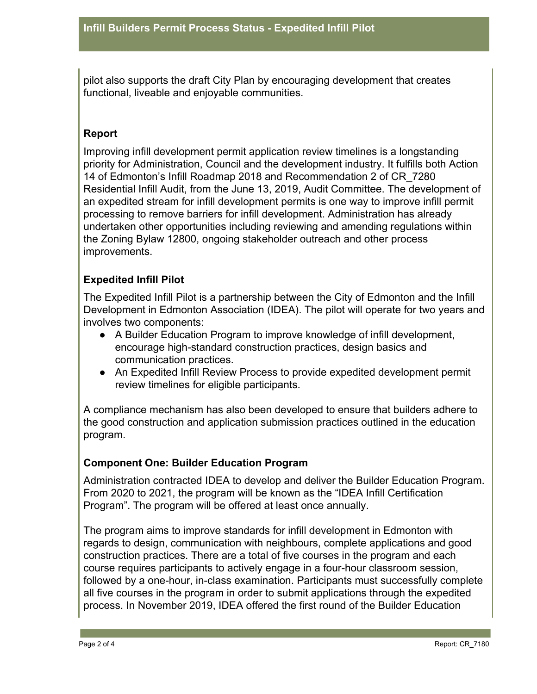pilot also supports the draft City Plan by encouraging development that creates functional, liveable and enjoyable communities.

## **Report**

Improving infill development permit application review timelines is a longstanding priority for Administration, Council and the development industry. It fulfills both Action 14 of Edmonton's Infill Roadmap 2018 and Recommendation 2 of CR\_7280 Residential Infill Audit, from the June 13, 2019, Audit Committee. The development of an expedited stream for infill development permits is one way to improve infill permit processing to remove barriers for infill development. Administration has already undertaken other opportunities including reviewing and amending regulations within the Zoning Bylaw 12800, ongoing stakeholder outreach and other process improvements.

## **Expedited Infill Pilot**

The Expedited Infill Pilot is a partnership between the City of Edmonton and the Infill Development in Edmonton Association (IDEA). The pilot will operate for two years and involves two components:

- A Builder Education Program to improve knowledge of infill development, encourage high-standard construction practices, design basics and communication practices.
- An Expedited Infill Review Process to provide expedited development permit review timelines for eligible participants.

A compliance mechanism has also been developed to ensure that builders adhere to the good construction and application submission practices outlined in the education program.

#### **Component One: Builder Education Program**

Administration contracted IDEA to develop and deliver the Builder Education Program. From 2020 to 2021, the program will be known as the "IDEA Infill Certification Program". The program will be offered at least once annually.

The program aims to improve standards for infill development in Edmonton with regards to design, communication with neighbours, complete applications and good construction practices. There are a total of five courses in the program and each course requires participants to actively engage in a four-hour classroom session, followed by a one-hour, in-class examination. Participants must successfully complete all five courses in the program in order to submit applications through the expedited process. In November 2019, IDEA offered the first round of the Builder Education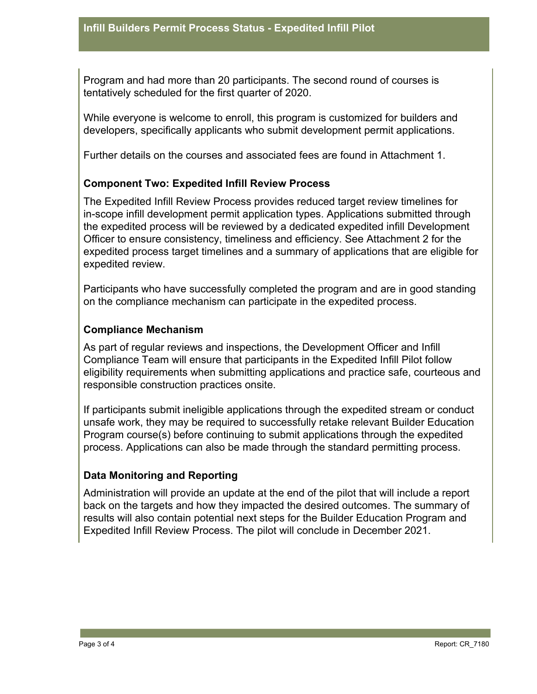Program and had more than 20 participants. The second round of courses is tentatively scheduled for the first quarter of 2020.

While everyone is welcome to enroll, this program is customized for builders and developers, specifically applicants who submit development permit applications.

Further details on the courses and associated fees are found in Attachment 1.

#### **Component Two: Expedited Infill Review Process**

The Expedited Infill Review Process provides reduced target review timelines for in-scope infill development permit application types. Applications submitted through the expedited process will be reviewed by a dedicated expedited infill Development Officer to ensure consistency, timeliness and efficiency. See Attachment 2 for the expedited process target timelines and a summary of applications that are eligible for expedited review.

Participants who have successfully completed the program and are in good standing on the compliance mechanism can participate in the expedited process.

#### **Compliance Mechanism**

As part of regular reviews and inspections, the Development Officer and Infill Compliance Team will ensure that participants in the Expedited Infill Pilot follow eligibility requirements when submitting applications and practice safe, courteous and responsible construction practices onsite.

If participants submit ineligible applications through the expedited stream or conduct unsafe work, they may be required to successfully retake relevant Builder Education Program course(s) before continuing to submit applications through the expedited process. Applications can also be made through the standard permitting process.

#### **Data Monitoring and Reporting**

Administration will provide an update at the end of the pilot that will include a report back on the targets and how they impacted the desired outcomes. The summary of results will also contain potential next steps for the Builder Education Program and Expedited Infill Review Process. The pilot will conclude in December 2021.